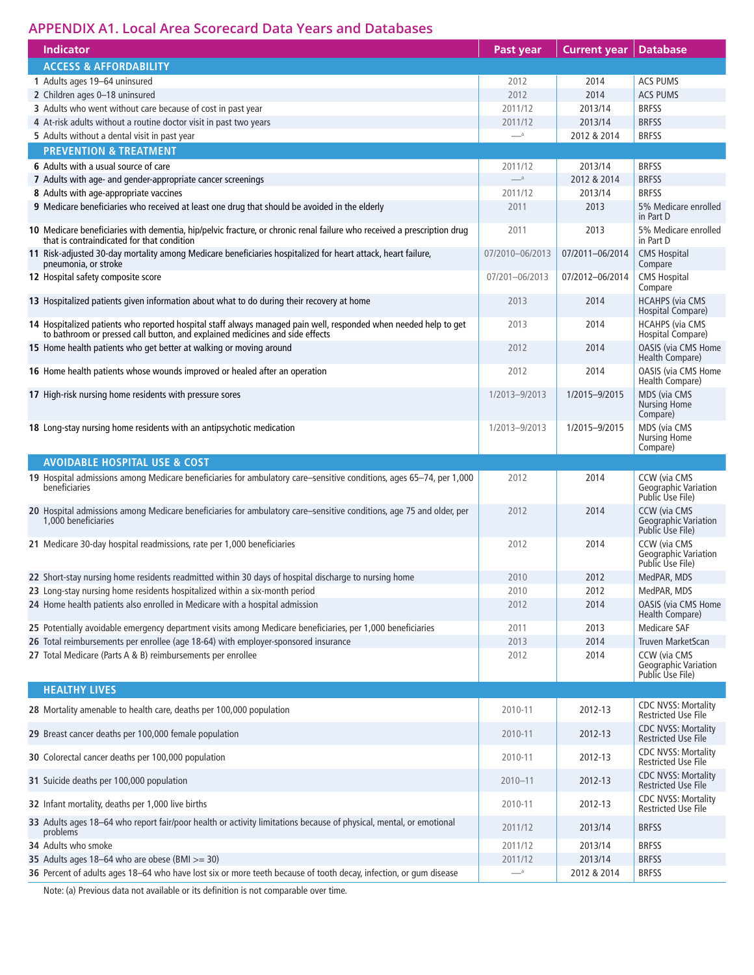## **APPENDIX A1. Local Area Scorecard Data Years and Databases**

| <b>Indicator</b>                                                                                                                                                                                 | Past year        | <b>Current year</b> | <b>Database</b>                                                 |
|--------------------------------------------------------------------------------------------------------------------------------------------------------------------------------------------------|------------------|---------------------|-----------------------------------------------------------------|
| <b>ACCESS &amp; AFFORDABILITY</b>                                                                                                                                                                |                  |                     |                                                                 |
| 1 Adults ages 19-64 uninsured                                                                                                                                                                    | 2012             | 2014                | <b>ACS PUMS</b>                                                 |
| 2 Children ages 0-18 uninsured                                                                                                                                                                   | 2012             | 2014                | <b>ACS PUMS</b>                                                 |
| 3 Adults who went without care because of cost in past year                                                                                                                                      | 2011/12          | 2013/14             | <b>BRFSS</b>                                                    |
| 4 At-risk adults without a routine doctor visit in past two years                                                                                                                                | 2011/12          | 2013/14             | <b>BRFSS</b>                                                    |
| 5 Adults without a dental visit in past year                                                                                                                                                     | $-$ <sup>a</sup> | 2012 & 2014         | <b>BRFSS</b>                                                    |
| <b>PREVENTION &amp; TREATMENT</b>                                                                                                                                                                |                  |                     |                                                                 |
| 6 Adults with a usual source of care                                                                                                                                                             | 2011/12          | 2013/14             | <b>BRFSS</b>                                                    |
| 7 Adults with age- and gender-appropriate cancer screenings                                                                                                                                      | $-$ <sup>a</sup> | 2012 & 2014         | <b>BRFSS</b>                                                    |
| 8 Adults with age-appropriate vaccines                                                                                                                                                           | 2011/12          | 2013/14             | <b>BRFSS</b>                                                    |
| 9 Medicare beneficiaries who received at least one drug that should be avoided in the elderly                                                                                                    | 2011             | 2013                | 5% Medicare enrolled<br>in Part D                               |
| 10 Medicare beneficiaries with dementia, hip/pelvic fracture, or chronic renal failure who received a prescription drug<br>that is contraindicated for that condition                            | 2011             | 2013                | 5% Medicare enrolled<br>in Part D                               |
| 11 Risk-adjusted 30-day mortality among Medicare beneficiaries hospitalized for heart attack, heart failure,<br>pneumonia, or stroke                                                             | 07/2010-06/2013  | 07/2011-06/2014     | <b>CMS Hospital</b><br>Compare                                  |
| 12 Hospital safety composite score                                                                                                                                                               | 07/201-06/2013   | 07/2012-06/2014     | <b>CMS Hospital</b><br>Compare                                  |
| 13 Hospitalized patients given information about what to do during their recovery at home                                                                                                        | 2013             | 2014                | <b>HCAHPS (via CMS</b><br>Hospital Compare)                     |
| 14 Hospitalized patients who reported hospital staff always managed pain well, responded when needed help to get<br>to bathroom or pressed call button, and explained medicines and side effects | 2013             | 2014                | <b>HCAHPS (via CMS</b><br>Hospital Compare)                     |
| 15 Home health patients who get better at walking or moving around                                                                                                                               | 2012             | 2014                | <b>OASIS (via CMS Home</b><br>Health Compare)                   |
| 16 Home health patients whose wounds improved or healed after an operation                                                                                                                       | 2012             | 2014                | <b>OASIS (via CMS Home)</b><br>Health Compare)                  |
| 17 High-risk nursing home residents with pressure sores                                                                                                                                          | 1/2013-9/2013    | 1/2015-9/2015       | <b>MDS (via CMS</b><br><b>Nursing Home</b><br>Compare)          |
| 18 Long-stay nursing home residents with an antipsychotic medication                                                                                                                             | 1/2013-9/2013    | 1/2015-9/2015       | MDS (via CMS<br><b>Nursing Home</b><br>Compare)                 |
| <b>AVOIDABLE HOSPITAL USE &amp; COST</b>                                                                                                                                                         |                  |                     |                                                                 |
| 19 Hospital admissions among Medicare beneficiaries for ambulatory care-sensitive conditions, ages 65-74, per 1,000<br>beneficiaries                                                             | 2012             | 2014                | <b>CCW</b> (via CMS<br>Geographic Variation<br>Public Use File) |
| 20 Hospital admissions among Medicare beneficiaries for ambulatory care–sensitive conditions, age 75 and older, per<br>1,000 beneficiaries                                                       | 2012             | 2014                | <b>CCW</b> (via CMS<br>Geographic Variation<br>Public Use File) |
| 21 Medicare 30-day hospital readmissions, rate per 1,000 beneficiaries                                                                                                                           | 2012             | 2014                | <b>CCW</b> (via CMS<br>Geographic Variation<br>Public Use File) |
| 22 Short-stay nursing home residents readmitted within 30 days of hospital discharge to nursing home                                                                                             | 2010             | 2012                | MedPAR, MDS                                                     |
| 23 Long-stay nursing home residents hospitalized within a six-month period                                                                                                                       | 2010             | 2012                | MedPAR, MDS                                                     |
| 24 Home health patients also enrolled in Medicare with a hospital admission                                                                                                                      | 2012             | 2014                | <b>OASIS (via CMS Home</b><br>Health Compare)                   |
| 25 Potentially avoidable emergency department visits among Medicare beneficiaries, per 1,000 beneficiaries                                                                                       | 2011             | 2013                | <b>Medicare SAF</b>                                             |
| 26 Total reimbursements per enrollee (age 18-64) with employer-sponsored insurance                                                                                                               | 2013             | 2014                | <b>Truven MarketScan</b>                                        |
| 27 Total Medicare (Parts A & B) reimbursements per enrollee                                                                                                                                      | 2012             | 2014                | CCW (via CMS<br><b>Geographic Variation</b><br>Public Use File) |
| <b>HEALTHY LIVES</b>                                                                                                                                                                             |                  |                     |                                                                 |
| 28 Mortality amenable to health care, deaths per 100,000 population                                                                                                                              | 2010-11          | 2012-13             | <b>CDC NVSS: Mortality</b><br><b>Restricted Use File</b>        |
| 29 Breast cancer deaths per 100,000 female population                                                                                                                                            | 2010-11          | 2012-13             | <b>CDC NVSS: Mortality</b><br><b>Restricted Use File</b>        |
| 30 Colorectal cancer deaths per 100,000 population                                                                                                                                               | 2010-11          | 2012-13             | <b>CDC NVSS: Mortality</b><br><b>Restricted Use File</b>        |
| 31 Suicide deaths per 100,000 population                                                                                                                                                         | $2010 - 11$      | 2012-13             | <b>CDC NVSS: Mortality</b><br><b>Restricted Use File</b>        |
| 32 Infant mortality, deaths per 1,000 live births                                                                                                                                                | 2010-11          | 2012-13             | <b>CDC NVSS: Mortality</b><br><b>Restricted Use File</b>        |
| 33 Adults ages 18-64 who report fair/poor health or activity limitations because of physical, mental, or emotional<br>problems                                                                   | 2011/12          | 2013/14             | <b>BRFSS</b>                                                    |
| 34 Adults who smoke                                                                                                                                                                              | 2011/12          | 2013/14             | <b>BRFSS</b>                                                    |
| 35 Adults ages 18-64 who are obese (BMI $>=$ 30)                                                                                                                                                 | 2011/12          | 2013/14             | <b>BRFSS</b>                                                    |
| 36 Percent of adults ages 18-64 who have lost six or more teeth because of tooth decay, infection, or gum disease                                                                                | $-$ <sup>a</sup> | 2012 & 2014         | <b>BRFSS</b>                                                    |

Note: (a) Previous data not available or its definition is not comparable over time.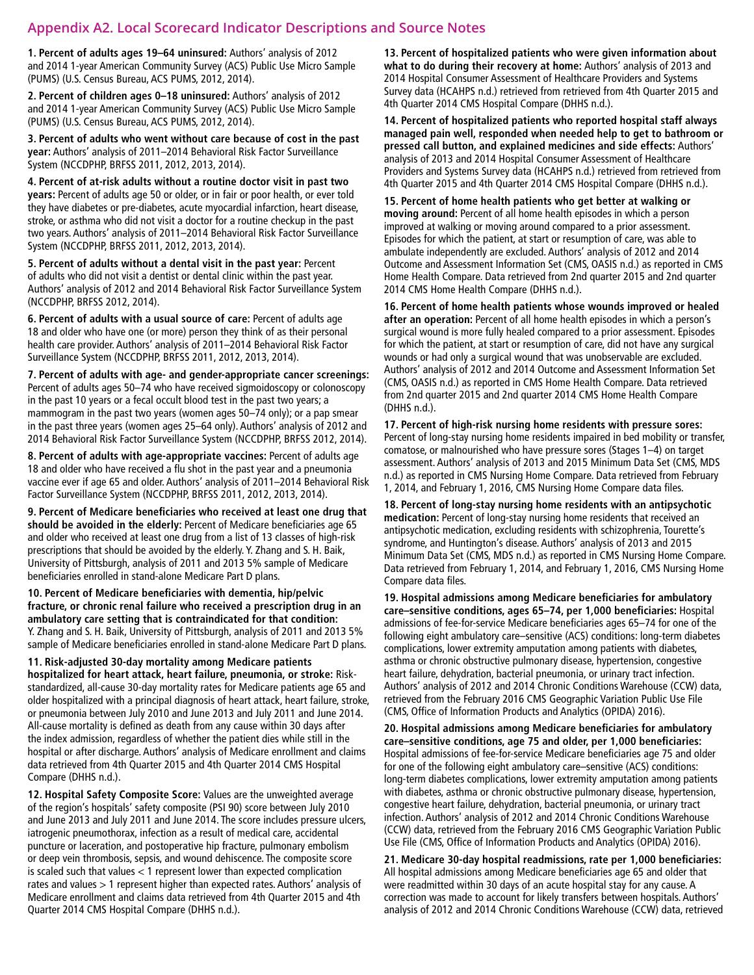#### **Appendix A2. Local Scorecard Indicator Descriptions and Source Notes**

**1. Percent of adults ages 19–64 uninsured:** Authors' analysis of 2012 and 2014 1-year American Community Survey (ACS) Public Use Micro Sample (PUMS) (U.S. Census Bureau, ACS PUMS, 2012, 2014).

**2. Percent of children ages 0–18 uninsured:** Authors' analysis of 2012 and 2014 1-year American Community Survey (ACS) Public Use Micro Sample (PUMS) (U.S. Census Bureau, ACS PUMS, 2012, 2014).

**3. Percent of adults who went without care because of cost in the past year:** Authors' analysis of 2011–2014 Behavioral Risk Factor Surveillance System (NCCDPHP, BRFSS 2011, 2012, 2013, 2014).

**4. Percent of at-risk adults without a routine doctor visit in past two years:** Percent of adults age 50 or older, or in fair or poor health, or ever told they have diabetes or pre-diabetes, acute myocardial infarction, heart disease, stroke, or asthma who did not visit a doctor for a routine checkup in the past two years. Authors' analysis of 2011–2014 Behavioral Risk Factor Surveillance System (NCCDPHP, BRFSS 2011, 2012, 2013, 2014).

**5. Percent of adults without a dental visit in the past year:** Percent of adults who did not visit a dentist or dental clinic within the past year. Authors' analysis of 2012 and 2014 Behavioral Risk Factor Surveillance System (NCCDPHP, BRFSS 2012, 2014).

**6. Percent of adults with a usual source of care:** Percent of adults age 18 and older who have one (or more) person they think of as their personal health care provider. Authors' analysis of 2011–2014 Behavioral Risk Factor Surveillance System (NCCDPHP, BRFSS 2011, 2012, 2013, 2014).

**7. Percent of adults with age- and gender-appropriate cancer screenings:**  Percent of adults ages 50–74 who have received sigmoidoscopy or colonoscopy in the past 10 years or a fecal occult blood test in the past two years; a mammogram in the past two years (women ages 50–74 only); or a pap smear in the past three years (women ages 25–64 only). Authors' analysis of 2012 and 2014 Behavioral Risk Factor Surveillance System (NCCDPHP, BRFSS 2012, 2014).

**8. Percent of adults with age-appropriate vaccines:** Percent of adults age 18 and older who have received a flu shot in the past year and a pneumonia vaccine ever if age 65 and older. Authors' analysis of 2011–2014 Behavioral Risk Factor Surveillance System (NCCDPHP, BRFSS 2011, 2012, 2013, 2014).

**9. Percent of Medicare beneficiaries who received at least one drug that should be avoided in the elderly:** Percent of Medicare beneficiaries age 65 and older who received at least one drug from a list of 13 classes of high-risk prescriptions that should be avoided by the elderly. Y. Zhang and S. H. Baik, University of Pittsburgh, analysis of 2011 and 2013 5% sample of Medicare beneficiaries enrolled in stand-alone Medicare Part D plans.

**10. Percent of Medicare beneficiaries with dementia, hip/pelvic fracture, or chronic renal failure who received a prescription drug in an ambulatory care setting that is contraindicated for that condition:**  Y. Zhang and S. H. Baik, University of Pittsburgh, analysis of 2011 and 2013 5% sample of Medicare beneficiaries enrolled in stand-alone Medicare Part D plans.

**11. Risk-adjusted 30-day mortality among Medicare patients hospitalized for heart attack, heart failure, pneumonia, or stroke:** Riskstandardized, all-cause 30-day mortality rates for Medicare patients age 65 and older hospitalized with a principal diagnosis of heart attack, heart failure, stroke, or pneumonia between July 2010 and June 2013 and July 2011 and June 2014. All-cause mortality is defined as death from any cause within 30 days after the index admission, regardless of whether the patient dies while still in the hospital or after discharge. Authors' analysis of Medicare enrollment and claims data retrieved from 4th Quarter 2015 and 4th Quarter 2014 CMS Hospital Compare (DHHS n.d.).

**12. Hospital Safety Composite Score:** Values are the unweighted average of the region's hospitals' safety composite (PSI 90) score between July 2010 and June 2013 and July 2011 and June 2014. The score includes pressure ulcers, iatrogenic pneumothorax, infection as a result of medical care, accidental puncture or laceration, and postoperative hip fracture, pulmonary embolism or deep vein thrombosis, sepsis, and wound dehiscence. The composite score is scaled such that values < 1 represent lower than expected complication rates and values > 1 represent higher than expected rates. Authors' analysis of Medicare enrollment and claims data retrieved from 4th Quarter 2015 and 4th Quarter 2014 CMS Hospital Compare (DHHS n.d.).

**13. Percent of hospitalized patients who were given information about what to do during their recovery at home:** Authors' analysis of 2013 and 2014 Hospital Consumer Assessment of Healthcare Providers and Systems Survey data (HCAHPS n.d.) retrieved from retrieved from 4th Quarter 2015 and 4th Quarter 2014 CMS Hospital Compare (DHHS n.d.).

**14. Percent of hospitalized patients who reported hospital staff always managed pain well, responded when needed help to get to bathroom or pressed call button, and explained medicines and side effects:** Authors' analysis of 2013 and 2014 Hospital Consumer Assessment of Healthcare Providers and Systems Survey data (HCAHPS n.d.) retrieved from retrieved from 4th Quarter 2015 and 4th Quarter 2014 CMS Hospital Compare (DHHS n.d.).

**15. Percent of home health patients who get better at walking or moving around:** Percent of all home health episodes in which a person improved at walking or moving around compared to a prior assessment. Episodes for which the patient, at start or resumption of care, was able to ambulate independently are excluded. Authors' analysis of 2012 and 2014 Outcome and Assessment Information Set (CMS, OASIS n.d.) as reported in CMS Home Health Compare. Data retrieved from 2nd quarter 2015 and 2nd quarter 2014 CMS Home Health Compare (DHHS n.d.).

**16. Percent of home health patients whose wounds improved or healed after an operation:** Percent of all home health episodes in which a person's surgical wound is more fully healed compared to a prior assessment. Episodes for which the patient, at start or resumption of care, did not have any surgical wounds or had only a surgical wound that was unobservable are excluded. Authors' analysis of 2012 and 2014 Outcome and Assessment Information Set (CMS, OASIS n.d.) as reported in CMS Home Health Compare. Data retrieved from 2nd quarter 2015 and 2nd quarter 2014 CMS Home Health Compare (DHHS n.d.).

**17. Percent of high-risk nursing home residents with pressure sores:**  Percent of long-stay nursing home residents impaired in bed mobility or transfer, comatose, or malnourished who have pressure sores (Stages 1–4) on target assessment. Authors' analysis of 2013 and 2015 Minimum Data Set (CMS, MDS n.d.) as reported in CMS Nursing Home Compare. Data retrieved from February 1, 2014, and February 1, 2016, CMS Nursing Home Compare data files.

**18. Percent of long-stay nursing home residents with an antipsychotic medication:** Percent of long-stay nursing home residents that received an antipsychotic medication, excluding residents with schizophrenia, Tourette's syndrome, and Huntington's disease. Authors' analysis of 2013 and 2015 Minimum Data Set (CMS, MDS n.d.) as reported in CMS Nursing Home Compare. Data retrieved from February 1, 2014, and February 1, 2016, CMS Nursing Home Compare data files.

**19. Hospital admissions among Medicare beneficiaries for ambulatory care–sensitive conditions, ages 65–74, per 1,000 beneficiaries:** Hospital admissions of fee-for-service Medicare beneficiaries ages 65–74 for one of the following eight ambulatory care–sensitive (ACS) conditions: long-term diabetes complications, lower extremity amputation among patients with diabetes, asthma or chronic obstructive pulmonary disease, hypertension, congestive heart failure, dehydration, bacterial pneumonia, or urinary tract infection. Authors' analysis of 2012 and 2014 Chronic Conditions Warehouse (CCW) data, retrieved from the February 2016 CMS Geographic Variation Public Use File (CMS, Office of Information Products and Analytics (OPIDA) 2016).

**20. Hospital admissions among Medicare beneficiaries for ambulatory care–sensitive conditions, age 75 and older, per 1,000 beneficiaries:**  Hospital admissions of fee-for-service Medicare beneficiaries age 75 and older for one of the following eight ambulatory care–sensitive (ACS) conditions: long-term diabetes complications, lower extremity amputation among patients with diabetes, asthma or chronic obstructive pulmonary disease, hypertension, congestive heart failure, dehydration, bacterial pneumonia, or urinary tract infection. Authors' analysis of 2012 and 2014 Chronic Conditions Warehouse (CCW) data, retrieved from the February 2016 CMS Geographic Variation Public Use File (CMS, Office of Information Products and Analytics (OPIDA) 2016).

**21. Medicare 30-day hospital readmissions, rate per 1,000 beneficiaries:**  All hospital admissions among Medicare beneficiaries age 65 and older that were readmitted within 30 days of an acute hospital stay for any cause. A correction was made to account for likely transfers between hospitals. Authors' analysis of 2012 and 2014 Chronic Conditions Warehouse (CCW) data, retrieved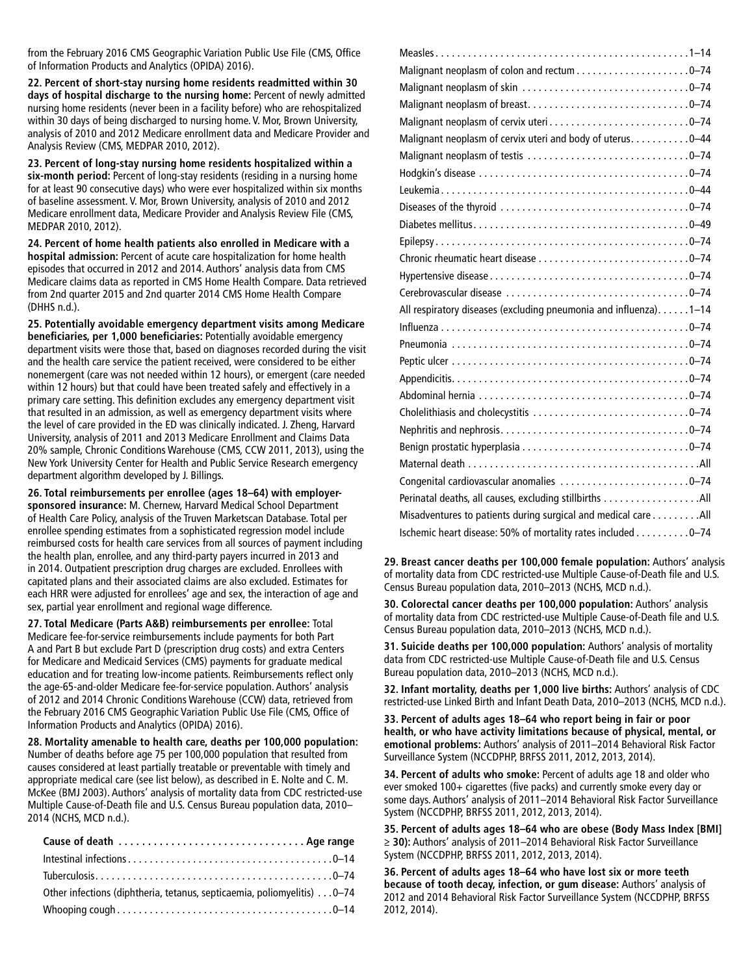from the February 2016 CMS Geographic Variation Public Use File (CMS, Office of Information Products and Analytics (OPIDA) 2016).

**22. Percent of short-stay nursing home residents readmitted within 30 days of hospital discharge to the nursing home:** Percent of newly admitted nursing home residents (never been in a facility before) who are rehospitalized within 30 days of being discharged to nursing home. V. Mor, Brown University, analysis of 2010 and 2012 Medicare enrollment data and Medicare Provider and Analysis Review (CMS, MEDPAR 2010, 2012).

**23. Percent of long-stay nursing home residents hospitalized within a six-month period:** Percent of long-stay residents (residing in a nursing home for at least 90 consecutive days) who were ever hospitalized within six months of baseline assessment. V. Mor, Brown University, analysis of 2010 and 2012 Medicare enrollment data, Medicare Provider and Analysis Review File (CMS, MEDPAR 2010, 2012).

**24. Percent of home health patients also enrolled in Medicare with a hospital admission:** Percent of acute care hospitalization for home health episodes that occurred in 2012 and 2014. Authors' analysis data from CMS Medicare claims data as reported in CMS Home Health Compare. Data retrieved from 2nd quarter 2015 and 2nd quarter 2014 CMS Home Health Compare (DHHS n.d.).

**25. Potentially avoidable emergency department visits among Medicare beneficiaries, per 1,000 beneficiaries:** Potentially avoidable emergency department visits were those that, based on diagnoses recorded during the visit and the health care service the patient received, were considered to be either nonemergent (care was not needed within 12 hours), or emergent (care needed within 12 hours) but that could have been treated safely and effectively in a primary care setting. This definition excludes any emergency department visit that resulted in an admission, as well as emergency department visits where the level of care provided in the ED was clinically indicated. J. Zheng, Harvard University, analysis of 2011 and 2013 Medicare Enrollment and Claims Data 20% sample, Chronic Conditions Warehouse (CMS, CCW 2011, 2013), using the New York University Center for Health and Public Service Research emergency department algorithm developed by J. Billings.

**26. Total reimbursements per enrollee (ages 18–64) with employersponsored insurance:** M. Chernew, Harvard Medical School Department of Health Care Policy, analysis of the Truven Marketscan Database. Total per enrollee spending estimates from a sophisticated regression model include reimbursed costs for health care services from all sources of payment including the health plan, enrollee, and any third-party payers incurred in 2013 and in 2014. Outpatient prescription drug charges are excluded. Enrollees with capitated plans and their associated claims are also excluded. Estimates for each HRR were adjusted for enrollees' age and sex, the interaction of age and sex, partial year enrollment and regional wage difference.

**27. Total Medicare (Parts A&B) reimbursements per enrollee:** Total Medicare fee-for-service reimbursements include payments for both Part A and Part B but exclude Part D (prescription drug costs) and extra Centers for Medicare and Medicaid Services (CMS) payments for graduate medical education and for treating low-income patients. Reimbursements reflect only the age-65-and-older Medicare fee-for-service population. Authors' analysis of 2012 and 2014 Chronic Conditions Warehouse (CCW) data, retrieved from the February 2016 CMS Geographic Variation Public Use File (CMS, Office of Information Products and Analytics (OPIDA) 2016).

**28. Mortality amenable to health care, deaths per 100,000 population:**  Number of deaths before age 75 per 100,000 population that resulted from causes considered at least partially treatable or preventable with timely and appropriate medical care (see list below), as described in E. Nolte and C. M. McKee (BMJ 2003). Authors' analysis of mortality data from CDC restricted-use Multiple Cause-of-Death file and U.S. Census Bureau population data, 2010– 2014 (NCHS, MCD n.d.).

| Other infections (diphtheria, tetanus, septicaemia, poliomyelitis) 0–74 |
|-------------------------------------------------------------------------|
|                                                                         |

| Malignant neoplasm of cervix uteri0-74                             |
|--------------------------------------------------------------------|
| Malignant neoplasm of cervix uteri and body of uterus. 0-44        |
|                                                                    |
|                                                                    |
|                                                                    |
|                                                                    |
|                                                                    |
|                                                                    |
|                                                                    |
|                                                                    |
|                                                                    |
| All respiratory diseases (excluding pneumonia and influenza). 1-14 |
|                                                                    |
|                                                                    |
|                                                                    |
|                                                                    |
|                                                                    |
|                                                                    |
|                                                                    |
|                                                                    |
|                                                                    |
| Congenital cardiovascular anomalies 0-74                           |
|                                                                    |
| Misadventures to patients during surgical and medical care All     |
| Ischemic heart disease: 50% of mortality rates included 0-74       |

**29. Breast cancer deaths per 100,000 female population:** Authors' analysis of mortality data from CDC restricted-use Multiple Cause-of-Death file and U.S. Census Bureau population data, 2010–2013 (NCHS, MCD n.d.).

**30. Colorectal cancer deaths per 100,000 population:** Authors' analysis of mortality data from CDC restricted-use Multiple Cause-of-Death file and U.S. Census Bureau population data, 2010–2013 (NCHS, MCD n.d.).

**31. Suicide deaths per 100,000 population:** Authors' analysis of mortality data from CDC restricted-use Multiple Cause-of-Death file and U.S. Census Bureau population data, 2010–2013 (NCHS, MCD n.d.).

**32. Infant mortality, deaths per 1,000 live births:** Authors' analysis of CDC restricted-use Linked Birth and Infant Death Data, 2010–2013 (NCHS, MCD n.d.).

**33. Percent of adults ages 18–64 who report being in fair or poor health, or who have activity limitations because of physical, mental, or emotional problems:** Authors' analysis of 2011–2014 Behavioral Risk Factor Surveillance System (NCCDPHP, BRFSS 2011, 2012, 2013, 2014).

**34. Percent of adults who smoke:** Percent of adults age 18 and older who ever smoked 100+ cigarettes (five packs) and currently smoke every day or some days. Authors' analysis of 2011–2014 Behavioral Risk Factor Surveillance System (NCCDPHP, BRFSS 2011, 2012, 2013, 2014).

**35. Percent of adults ages 18–64 who are obese (Body Mass Index [BMI] ≥ 30):** Authors' analysis of 2011–2014 Behavioral Risk Factor Surveillance System (NCCDPHP, BRFSS 2011, 2012, 2013, 2014).

**36. Percent of adults ages 18–64 who have lost six or more teeth because of tooth decay, infection, or gum disease:** Authors' analysis of 2012 and 2014 Behavioral Risk Factor Surveillance System (NCCDPHP, BRFSS 2012, 2014).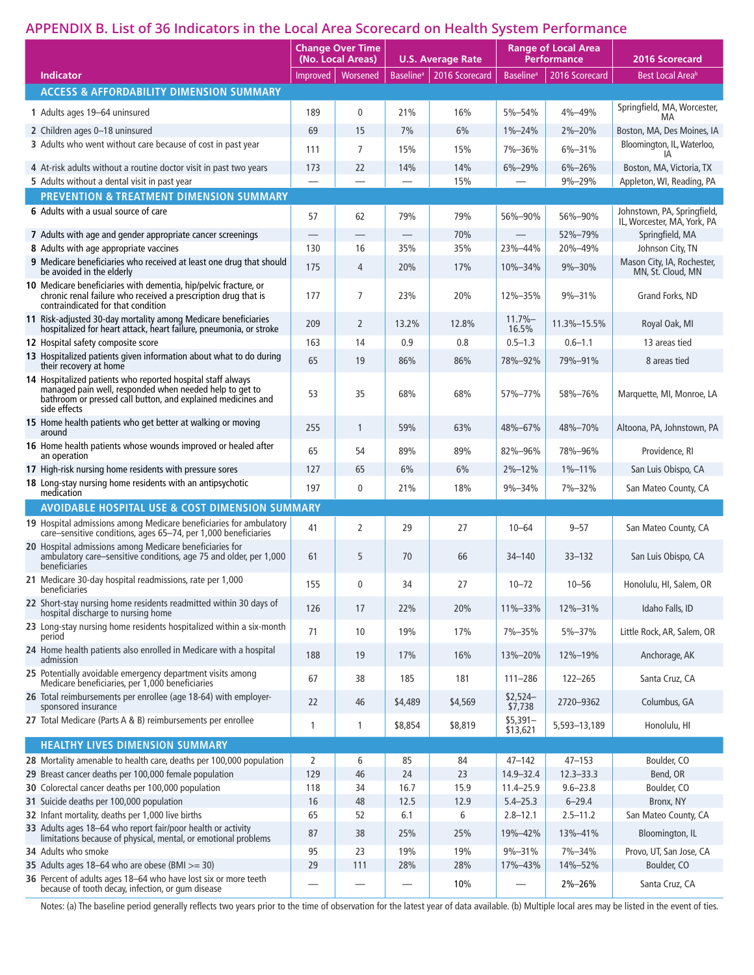## **APPENDIX B. List of 36 Indicators in the Local Area Scorecard on Health System Performance**

|                                                                                                                                                                                                                 | <b>Change Over Time</b><br>(No. Local Areas) |                          |                              | <b>U.S. Average Rate</b> |                              | <b>Range of Local Area</b><br><b>Performance</b> | 2016 Scorecard                                             |  |
|-----------------------------------------------------------------------------------------------------------------------------------------------------------------------------------------------------------------|----------------------------------------------|--------------------------|------------------------------|--------------------------|------------------------------|--------------------------------------------------|------------------------------------------------------------|--|
| <b>Indicator</b>                                                                                                                                                                                                | Improved                                     | Worsened                 | <b>Baseline</b> <sup>a</sup> | 2016 Scorecard           | <b>Baseline</b> <sup>a</sup> | 2016 Scorecard                                   | Best Local Area <sup>b</sup>                               |  |
| <b>ACCESS &amp; AFFORDABILITY DIMENSION SUMMARY</b>                                                                                                                                                             |                                              |                          |                              |                          |                              |                                                  |                                                            |  |
| 1 Adults ages 19-64 uninsured                                                                                                                                                                                   | 189                                          | $\mathbf 0$              | 21%                          | 16%                      | 5%-54%                       | 4%-49%                                           | Springfield, MA, Worcester,<br>MA                          |  |
| 2 Children ages 0-18 uninsured                                                                                                                                                                                  | 69                                           | 15                       | 7%                           | 6%                       | $1\% - 24\%$                 | 2%-20%                                           | Boston, MA, Des Moines, IA                                 |  |
| 3 Adults who went without care because of cost in past year                                                                                                                                                     | 111                                          | $\overline{7}$           | 15%                          | 15%                      | 7%-36%                       | $6\% - 31\%$                                     | Bloomington, IL, Waterloo,                                 |  |
| 4 At-risk adults without a routine doctor visit in past two years                                                                                                                                               | 173                                          | 22                       | 14%                          | 14%                      | 6%-29%                       | $6\% - 26\%$                                     | Boston, MA, Victoria, TX                                   |  |
| 5 Adults without a dental visit in past year                                                                                                                                                                    |                                              | $\overline{\phantom{0}}$ |                              | 15%                      |                              | 9%-29%                                           | Appleton, WI, Reading, PA                                  |  |
| <b>PREVENTION &amp; TREATMENT DIMENSION SUMMARY</b>                                                                                                                                                             |                                              |                          |                              |                          |                              |                                                  |                                                            |  |
| 6 Adults with a usual source of care                                                                                                                                                                            | 57                                           | 62                       | 79%                          | 79%                      | 56%-90%                      | 56%-90%                                          | Johnstown, PA, Springfield,<br>IL, Worcester, MA, York, PA |  |
| 7 Adults with age and gender appropriate cancer screenings                                                                                                                                                      |                                              |                          |                              | 70%                      |                              | 52%-79%                                          | Springfield, MA                                            |  |
| 8 Adults with age appropriate vaccines<br>9 Medicare beneficiaries who received at least one drug that should                                                                                                   | 130                                          | 16                       | 35%                          | 35%                      | 23%-44%                      | 20%-49%                                          | Johnson City, TN<br>Mason City, IA, Rochester,             |  |
| be avoided in the elderly                                                                                                                                                                                       | 175                                          | $\overline{4}$           | 20%                          | 17%                      | 10%-34%                      | 9%-30%                                           | MN, St. Cloud, MN                                          |  |
| 10 Medicare beneficiaries with dementia, hip/pelvic fracture, or<br>chronic renal failure who received a prescription drug that is<br>contraindicated for that condition                                        | 177                                          | $\overline{7}$           | 23%                          | 20%                      | 12%-35%                      | 9%-31%                                           | Grand Forks, ND                                            |  |
| 11 Risk-adjusted 30-day mortality among Medicare beneficiaries<br>hospitalized for heart attack, heart failure, pneumonia, or stroke                                                                            | 209                                          | 2                        | 13.2%                        | 12.8%                    | $11.7% -$<br>16.5%           | 11.3%-15.5%                                      | Royal Oak, MI                                              |  |
| 12 Hospital safety composite score                                                                                                                                                                              | 163                                          | 14                       | 0.9                          | 0.8                      | $0.5 - 1.3$                  | $0.6 - 1.1$                                      | 13 areas tied                                              |  |
| 13 Hospitalized patients given information about what to do during<br>their recovery at home                                                                                                                    | 65                                           | 19                       | 86%                          | 86%                      | 78%-92%                      | 79%-91%                                          | 8 areas tied                                               |  |
| 14 Hospitalized patients who reported hospital staff always<br>managed pain well, responded when needed help to get to<br>bathroom or pressed call button, and explained medicines and<br>side effects          | 53                                           | 35                       | 68%                          | 68%                      | 57%-77%                      | 58%-76%                                          | Marquette, MI, Monroe, LA                                  |  |
| 15 Home health patients who get better at walking or moving<br>around                                                                                                                                           | 255                                          | $\mathbf{1}$             | 59%                          | 63%                      | 48%-67%                      | 48%-70%                                          | Altoona, PA, Johnstown, PA                                 |  |
| 16 Home health patients whose wounds improved or healed after<br>an operation                                                                                                                                   | 65                                           | 54                       | 89%                          | 89%                      | 82%-96%                      | 78%-96%                                          | Providence, RI                                             |  |
| 17 High-risk nursing home residents with pressure sores                                                                                                                                                         | 127                                          | 65                       | 6%                           | 6%                       | $2% - 12%$                   | $1\% - 11\%$                                     | San Luis Obispo, CA                                        |  |
| 18 Long-stay nursing home residents with an antipsychotic<br>medication                                                                                                                                         | 197                                          | $\mathbf 0$              | 21%                          | 18%                      | 9%-34%                       | 7%-32%                                           | San Mateo County, CA                                       |  |
| <b>AVOIDABLE HOSPITAL USE &amp; COST DIMENSION SUMMARY</b>                                                                                                                                                      |                                              |                          |                              |                          |                              |                                                  |                                                            |  |
| 19 Hospital admissions among Medicare beneficiaries for ambulatory                                                                                                                                              | 41                                           | $\overline{2}$           | 29                           | 27                       | $10 - 64$                    | $9 - 57$                                         | San Mateo County, CA                                       |  |
| care-sensitive conditions, ages 65-74, per 1,000 beneficiaries<br>20 Hospital admissions among Medicare beneficiaries for<br>ambulatory care-sensitive conditions, age 75 and older, per 1,000<br>beneficiaries | 61                                           | 5                        | 70                           | 66                       | $34 - 140$                   | $33 - 132$                                       | San Luis Obispo, CA                                        |  |
| 21 Medicare 30-day hospital readmissions, rate per 1,000<br>beneficiaries                                                                                                                                       | 155                                          | $\mathbf 0$              | 34                           | 27                       | $10 - 72$                    | $10 - 56$                                        | Honolulu, HI, Salem, OR                                    |  |
| 22 Short-stay nursing home residents readmitted within 30 days of<br>hospital discharge to nursing home                                                                                                         | 126                                          | 17                       | 22%                          | 20%                      | 11%-33%                      | 12%-31%                                          | Idaho Falls, ID                                            |  |
| 23 Long-stay nursing home residents hospitalized within a six-month<br>period                                                                                                                                   | 71                                           | 10                       | 19%                          | 17%                      | 7%-35%                       | 5%-37%                                           | Little Rock, AR, Salem, OR                                 |  |
| 24 Home health patients also enrolled in Medicare with a hospital<br>admission                                                                                                                                  | 188                                          | 19                       | 17%                          | 16%                      | 13%-20%                      | 12%-19%                                          | Anchorage, AK                                              |  |
| 25 Potentially avoidable emergency department visits among<br>Medicare beneficiaries, per 1,000 beneficiaries                                                                                                   | 67                                           | 38                       | 185                          | 181                      | $111 - 286$                  | 122-265                                          | Santa Cruz, CA                                             |  |
| 26 Total reimbursements per enrollee (age 18-64) with employer-<br>sponsored insurance                                                                                                                          | 22                                           | 46                       | \$4,489                      | \$4,569                  | $$2,524-$<br>\$7,738         | 2720-9362                                        | Columbus, GA                                               |  |
| 27 Total Medicare (Parts A & B) reimbursements per enrollee                                                                                                                                                     | 1                                            | 1                        | \$8,854                      | \$8,819                  | $$5,391-$<br>\$13,621        | 5,593-13,189                                     | Honolulu, HI                                               |  |
| HEALTHY LIVES DIMENSION SUMMARY                                                                                                                                                                                 |                                              |                          |                              |                          |                              |                                                  |                                                            |  |
| 28 Mortality amenable to health care, deaths per 100,000 population                                                                                                                                             | 2                                            | 6                        | 85                           | 84                       | $47 - 142$                   | $47 - 153$                                       | Boulder, CO                                                |  |
| 29 Breast cancer deaths per 100,000 female population                                                                                                                                                           | 129                                          | 46                       | 24                           | 23                       | 14.9-32.4                    | $12.3 - 33.3$                                    | Bend, OR                                                   |  |
| 30 Colorectal cancer deaths per 100,000 population                                                                                                                                                              | 118                                          | 34                       | 16.7                         | 15.9                     | $11.4 - 25.9$                | $9.6 - 23.8$                                     | Boulder, CO                                                |  |
| 31 Suicide deaths per 100,000 population                                                                                                                                                                        | 16                                           | 48                       | 12.5                         | 12.9                     | $5.4 - 25.3$                 | $6 - 29.4$                                       | Bronx, NY                                                  |  |
| 32 Infant mortality, deaths per 1,000 live births                                                                                                                                                               | 65                                           | 52                       | 6.1                          | 6                        | $2.8 - 12.1$                 | $2.5 - 11.2$                                     | San Mateo County, CA                                       |  |
| 33 Adults ages 18-64 who report fair/poor health or activity<br>limitations because of physical, mental, or emotional problems                                                                                  | 87                                           | 38                       | 25%                          | 25%                      | 19%-42%                      | 13%-41%                                          | Bloomington, IL                                            |  |
| 34 Adults who smoke                                                                                                                                                                                             | 95                                           | 23                       | 19%                          | 19%                      | 9%-31%                       | 7%-34%                                           | Provo, UT, San Jose, CA                                    |  |
| 35 Adults ages 18-64 who are obese (BMI $>=$ 30)                                                                                                                                                                | 29                                           | 111                      | 28%                          | 28%                      | 17%-43%                      | 14%-52%                                          | Boulder, CO                                                |  |
| 36 Percent of adults ages 18-64 who have lost six or more teeth because of tooth decay, infection, or gum disease                                                                                               |                                              |                          |                              | 10%                      |                              | 2%-26%                                           | Santa Cruz, CA                                             |  |

Notes: (a) The baseline period generally reflects two years prior to the time of observation for the latest year of data available. (b) Multiple local ares may be listed in the event of ties.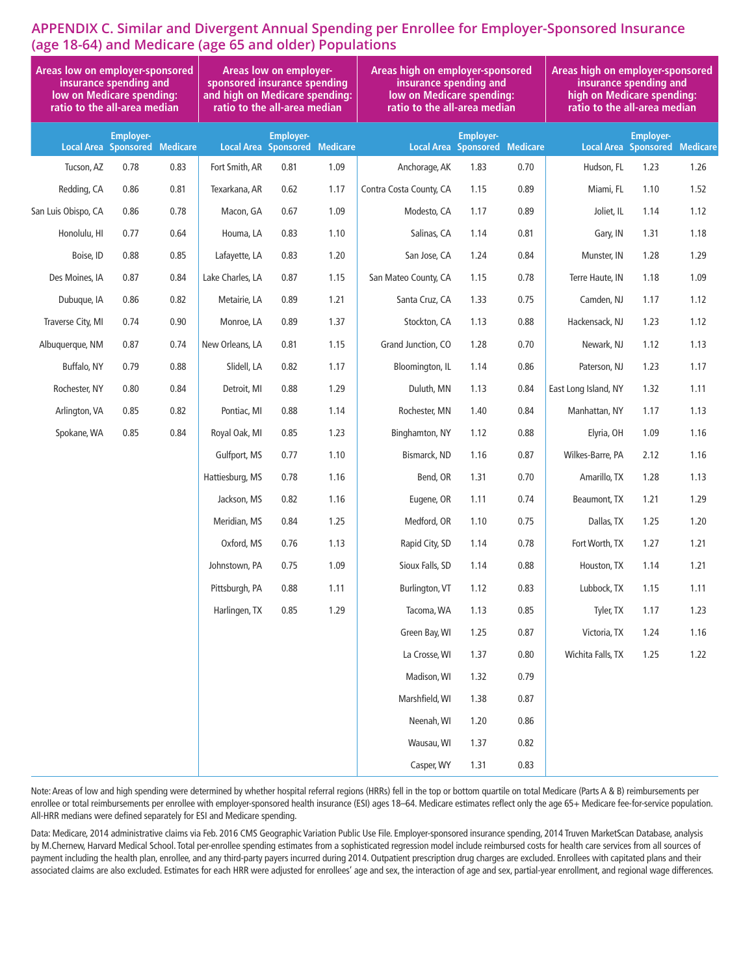### **APPENDIX C. Similar and Divergent Annual Spending per Enrollee for Employer-Sponsored Insurance (age 18-64) and Medicare (age 65 and older) Populations**

| Areas low on employer-sponsored<br>insurance spending and<br>low on Medicare spending:<br>ratio to the all-area median |                                                          |      | <b>Areas low on employer-</b><br>sponsored insurance spending<br>and high on Medicare spending:<br>ratio to the all-area median |                  |      | Areas high on employer-sponsored<br>insurance spending and<br>low on Medicare spending:<br>ratio to the all-area median | Areas high on employer-sponsored<br>insurance spending and<br>high on Medicare spending:<br>ratio to the all-area median |      |                      |                                                          |      |
|------------------------------------------------------------------------------------------------------------------------|----------------------------------------------------------|------|---------------------------------------------------------------------------------------------------------------------------------|------------------|------|-------------------------------------------------------------------------------------------------------------------------|--------------------------------------------------------------------------------------------------------------------------|------|----------------------|----------------------------------------------------------|------|
|                                                                                                                        | <b>Employer-</b><br><b>Local Area Sponsored Medicare</b> |      | <b>Local Area Sponsored Medicare</b>                                                                                            | <b>Employer-</b> |      |                                                                                                                         | <b>Employer-</b><br><b>Local Area Sponsored Medicare</b>                                                                 |      |                      | <b>Employer-</b><br><b>Local Area Sponsored Medicare</b> |      |
| Tucson, AZ                                                                                                             | 0.78                                                     | 0.83 | Fort Smith, AR                                                                                                                  | 0.81             | 1.09 | Anchorage, AK                                                                                                           | 1.83                                                                                                                     | 0.70 | Hudson, FL           | 1.23                                                     | 1.26 |
| Redding, CA                                                                                                            | 0.86                                                     | 0.81 | Texarkana, AR                                                                                                                   | 0.62             | 1.17 | Contra Costa County, CA                                                                                                 | 1.15                                                                                                                     | 0.89 | Miami, FL            | 1.10                                                     | 1.52 |
| San Luis Obispo, CA                                                                                                    | 0.86                                                     | 0.78 | Macon, GA                                                                                                                       | 0.67             | 1.09 | Modesto, CA                                                                                                             | 1.17                                                                                                                     | 0.89 | Joliet, IL           | 1.14                                                     | 1.12 |
| Honolulu, HI                                                                                                           | 0.77                                                     | 0.64 | Houma, LA                                                                                                                       | 0.83             | 1.10 | Salinas, CA                                                                                                             | 1.14                                                                                                                     | 0.81 | Gary, IN             | 1.31                                                     | 1.18 |
| Boise, ID                                                                                                              | 0.88                                                     | 0.85 | Lafayette, LA                                                                                                                   | 0.83             | 1.20 | San Jose, CA                                                                                                            | 1.24                                                                                                                     | 0.84 | Munster, IN          | 1.28                                                     | 1.29 |
| Des Moines, IA                                                                                                         | 0.87                                                     | 0.84 | Lake Charles, LA                                                                                                                | 0.87             | 1.15 | San Mateo County, CA                                                                                                    | 1.15                                                                                                                     | 0.78 | Terre Haute, IN      | 1.18                                                     | 1.09 |
| Dubuque, IA                                                                                                            | 0.86                                                     | 0.82 | Metairie, LA                                                                                                                    | 0.89             | 1.21 | Santa Cruz, CA                                                                                                          | 1.33                                                                                                                     | 0.75 | Camden, NJ           | 1.17                                                     | 1.12 |
| Traverse City, MI                                                                                                      | 0.74                                                     | 0.90 | Monroe, LA                                                                                                                      | 0.89             | 1.37 | Stockton, CA                                                                                                            | 1.13                                                                                                                     | 0.88 | Hackensack, NJ       | 1.23                                                     | 1.12 |
| Albuquerque, NM                                                                                                        | 0.87                                                     | 0.74 | New Orleans, LA                                                                                                                 | 0.81             | 1.15 | Grand Junction, CO                                                                                                      | 1.28                                                                                                                     | 0.70 | Newark, NJ           | 1.12                                                     | 1.13 |
| Buffalo, NY                                                                                                            | 0.79                                                     | 0.88 | Slidell, LA                                                                                                                     | 0.82             | 1.17 | Bloomington, IL                                                                                                         | 1.14                                                                                                                     | 0.86 | Paterson, NJ         | 1.23                                                     | 1.17 |
| Rochester, NY                                                                                                          | 0.80                                                     | 0.84 | Detroit, MI                                                                                                                     | 0.88             | 1.29 | Duluth, MN                                                                                                              | 1.13                                                                                                                     | 0.84 | East Long Island, NY | 1.32                                                     | 1.11 |
| Arlington, VA                                                                                                          | 0.85                                                     | 0.82 | Pontiac, MI                                                                                                                     | 0.88             | 1.14 | Rochester, MN                                                                                                           | 1.40                                                                                                                     | 0.84 | Manhattan, NY        | 1.17                                                     | 1.13 |
| Spokane, WA                                                                                                            | 0.85                                                     | 0.84 | Royal Oak, MI                                                                                                                   | 0.85             | 1.23 | Binghamton, NY                                                                                                          | 1.12                                                                                                                     | 0.88 | Elyria, OH           | 1.09                                                     | 1.16 |
|                                                                                                                        |                                                          |      | Gulfport, MS                                                                                                                    | 0.77             | 1.10 | Bismarck, ND                                                                                                            | 1.16                                                                                                                     | 0.87 | Wilkes-Barre, PA     | 2.12                                                     | 1.16 |
|                                                                                                                        |                                                          |      | Hattiesburg, MS                                                                                                                 | 0.78             | 1.16 | Bend, OR                                                                                                                | 1.31                                                                                                                     | 0.70 | Amarillo, TX         | 1.28                                                     | 1.13 |
|                                                                                                                        |                                                          |      | Jackson, MS                                                                                                                     | 0.82             | 1.16 | Eugene, OR                                                                                                              | 1.11                                                                                                                     | 0.74 | Beaumont, TX         | 1.21                                                     | 1.29 |
|                                                                                                                        |                                                          |      | Meridian, MS                                                                                                                    | 0.84             | 1.25 | Medford, OR                                                                                                             | 1.10                                                                                                                     | 0.75 | Dallas, TX           | 1.25                                                     | 1.20 |
|                                                                                                                        |                                                          |      | Oxford, MS                                                                                                                      | 0.76             | 1.13 | Rapid City, SD                                                                                                          | 1.14                                                                                                                     | 0.78 | Fort Worth, TX       | 1.27                                                     | 1.21 |
|                                                                                                                        |                                                          |      | Johnstown, PA                                                                                                                   | 0.75             | 1.09 | Sioux Falls, SD                                                                                                         | 1.14                                                                                                                     | 0.88 | Houston, TX          | 1.14                                                     | 1.21 |
|                                                                                                                        |                                                          |      | Pittsburgh, PA                                                                                                                  | 0.88             | 1.11 | Burlington, VT                                                                                                          | 1.12                                                                                                                     | 0.83 | Lubbock, TX          | 1.15                                                     | 1.11 |
|                                                                                                                        |                                                          |      | Harlingen, TX                                                                                                                   | 0.85             | 1.29 | Tacoma, WA                                                                                                              | 1.13                                                                                                                     | 0.85 | Tyler, TX            | 1.17                                                     | 1.23 |
|                                                                                                                        |                                                          |      |                                                                                                                                 |                  |      | Green Bay, WI                                                                                                           | 1.25                                                                                                                     | 0.87 | Victoria, TX         | 1.24                                                     | 1.16 |
|                                                                                                                        |                                                          |      |                                                                                                                                 |                  |      | La Crosse, WI                                                                                                           | 1.37                                                                                                                     | 0.80 | Wichita Falls, TX    | 1.25                                                     | 1.22 |
|                                                                                                                        |                                                          |      |                                                                                                                                 |                  |      | Madison, WI                                                                                                             | 1.32                                                                                                                     | 0.79 |                      |                                                          |      |
|                                                                                                                        |                                                          |      |                                                                                                                                 |                  |      | Marshfield, WI                                                                                                          | 1.38                                                                                                                     | 0.87 |                      |                                                          |      |
|                                                                                                                        |                                                          |      |                                                                                                                                 |                  |      | Neenah, WI                                                                                                              | 1.20                                                                                                                     | 0.86 |                      |                                                          |      |
|                                                                                                                        |                                                          |      |                                                                                                                                 |                  |      | Wausau, WI                                                                                                              | 1.37                                                                                                                     | 0.82 |                      |                                                          |      |
|                                                                                                                        |                                                          |      |                                                                                                                                 |                  |      | Casper, WY                                                                                                              | 1.31                                                                                                                     | 0.83 |                      |                                                          |      |

Note: Areas of low and high spending were determined by whether hospital referral regions (HRRs) fell in the top or bottom quartile on total Medicare (Parts A & B) reimbursements per enrollee or total reimbursements per enrollee with employer-sponsored health insurance (ESI) ages 18–64. Medicare estimates reflect only the age 65+ Medicare fee-for-service population. All-HRR medians were defined separately for ESI and Medicare spending.

Data: Medicare, 2014 administrative claims via Feb. 2016 CMS Geographic Variation Public Use File. Employer-sponsored insurance spending, 2014 Truven MarketScan Database, analysis by M.Chernew, Harvard Medical School. Total per-enrollee spending estimates from a sophisticated regression model include reimbursed costs for health care services from all sources of payment including the health plan, enrollee, and any third-party payers incurred during 2014. Outpatient prescription drug charges are excluded. Enrollees with capitated plans and their associated claims are also excluded. Estimates for each HRR were adjusted for enrollees' age and sex, the interaction of age and sex, partial-year enrollment, and regional wage differences.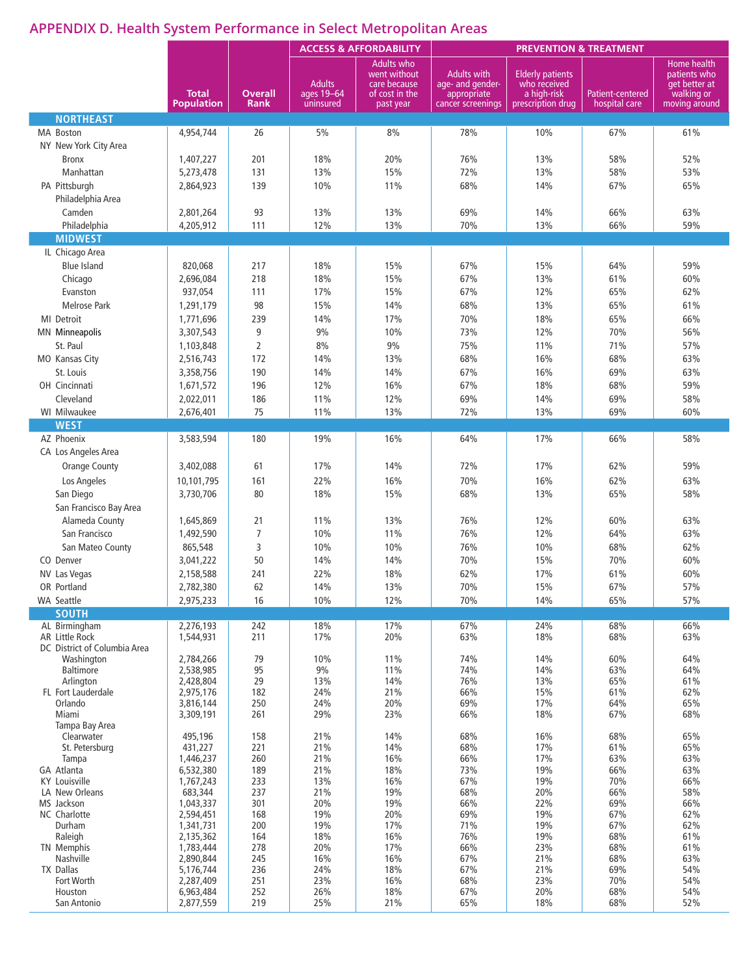# **APPENDIX D. Health System Performance in Select Metropolitan Areas**

|                                        |                        |                |                             | <b>ACCESS &amp; AFFORDABILITY</b>                                   | <b>PREVENTION &amp; TREATMENT</b>                     |                                                        |                  |                                                            |
|----------------------------------------|------------------------|----------------|-----------------------------|---------------------------------------------------------------------|-------------------------------------------------------|--------------------------------------------------------|------------------|------------------------------------------------------------|
|                                        | <b>Total</b>           | <b>Overall</b> | <b>Adults</b><br>ages 19-64 | <b>Adults who</b><br>went without<br>care because<br>of cost in the | <b>Adults with</b><br>age- and gender-<br>appropriate | <b>Elderly patients</b><br>who received<br>a high-risk | Patient-centered | Home health<br>patients who<br>get better at<br>walking or |
| <b>NORTHEAST</b>                       | <b>Population</b>      | <b>Rank</b>    | uninsured                   | past year                                                           | cancer screenings                                     | prescription drug                                      | hospital care    | moving around                                              |
| MA Boston                              | 4,954,744              | 26             | 5%                          | 8%                                                                  | 78%                                                   | 10%                                                    | 67%              | 61%                                                        |
| NY New York City Area                  |                        |                |                             |                                                                     |                                                       |                                                        |                  |                                                            |
| <b>Bronx</b>                           | 1,407,227              | 201            | 18%                         | 20%                                                                 | 76%                                                   | 13%                                                    | 58%              | 52%                                                        |
| Manhattan                              | 5,273,478              | 131            | 13%                         | 15%                                                                 | 72%                                                   | 13%                                                    | 58%              | 53%                                                        |
| PA Pittsburgh                          | 2,864,923              | 139            | 10%                         | 11%                                                                 | 68%                                                   | 14%                                                    | 67%              | 65%                                                        |
| Philadelphia Area                      |                        |                |                             |                                                                     |                                                       |                                                        |                  |                                                            |
| Camden                                 | 2,801,264              | 93             | 13%                         | 13%                                                                 | 69%                                                   | 14%                                                    | 66%              | 63%                                                        |
| Philadelphia<br><b>MIDWEST</b>         | 4,205,912              | 111            | 12%                         | 13%                                                                 | 70%                                                   | 13%                                                    | 66%              | 59%                                                        |
| IL Chicago Area                        |                        |                |                             |                                                                     |                                                       |                                                        |                  |                                                            |
| <b>Blue Island</b>                     | 820,068                | 217            | 18%                         | 15%                                                                 | 67%                                                   | 15%                                                    | 64%              | 59%                                                        |
| Chicago                                | 2,696,084              | 218            | 18%                         | 15%                                                                 | 67%                                                   | 13%                                                    | 61%              | 60%                                                        |
| Evanston                               | 937,054                | 111            | 17%                         | 15%                                                                 | 67%                                                   | 12%                                                    | 65%              | 62%                                                        |
| <b>Melrose Park</b>                    | 1,291,179              | 98             | 15%                         | 14%                                                                 | 68%                                                   | 13%                                                    | 65%              | 61%                                                        |
| MI Detroit                             | 1,771,696              | 239            | 14%                         | 17%                                                                 | 70%                                                   | 18%                                                    | 65%              | 66%                                                        |
| <b>MN</b> Minneapolis                  | 3,307,543              | 9              | 9%                          | 10%                                                                 | 73%                                                   | 12%                                                    | 70%              | 56%                                                        |
| St. Paul                               | 1,103,848              | $\overline{2}$ | 8%                          | 9%                                                                  | 75%                                                   | 11%                                                    | 71%              | 57%                                                        |
| MO Kansas City<br>St. Louis            | 2,516,743<br>3,358,756 | 172<br>190     | 14%<br>14%                  | 13%<br>14%                                                          | 68%<br>67%                                            | 16%<br>16%                                             | 68%<br>69%       | 63%<br>63%                                                 |
| OH Cincinnati                          | 1,671,572              | 196            | 12%                         | 16%                                                                 | 67%                                                   | 18%                                                    | 68%              | 59%                                                        |
| Cleveland                              | 2,022,011              | 186            | 11%                         | 12%                                                                 | 69%                                                   | 14%                                                    | 69%              | 58%                                                        |
| WI Milwaukee                           | 2,676,401              | 75             | 11%                         | 13%                                                                 | 72%                                                   | 13%                                                    | 69%              | 60%                                                        |
| <b>WEST</b>                            |                        |                |                             |                                                                     |                                                       |                                                        |                  |                                                            |
| AZ Phoenix                             | 3,583,594              | 180            | 19%                         | 16%                                                                 | 64%                                                   | 17%                                                    | 66%              | 58%                                                        |
| CA Los Angeles Area                    |                        |                |                             |                                                                     |                                                       |                                                        |                  |                                                            |
| <b>Orange County</b>                   | 3,402,088              | 61             | 17%                         | 14%                                                                 | 72%                                                   | 17%                                                    | 62%              | 59%                                                        |
| Los Angeles                            | 10,101,795             | 161            | 22%                         | 16%                                                                 | 70%                                                   | 16%                                                    | 62%              | 63%                                                        |
| San Diego<br>San Francisco Bay Area    | 3,730,706              | 80             | 18%                         | 15%                                                                 | 68%                                                   | 13%                                                    | 65%              | 58%                                                        |
| Alameda County                         | 1,645,869              | 21             | 11%                         | 13%                                                                 | 76%                                                   | 12%                                                    | 60%              | 63%                                                        |
| San Francisco                          | 1,492,590              | $\overline{7}$ | 10%                         | 11%                                                                 | 76%                                                   | 12%                                                    | 64%              | 63%                                                        |
| San Mateo County                       | 865,548                | 3              | 10%                         | 10%                                                                 | 76%                                                   | 10%                                                    | 68%              | 62%                                                        |
| CO Denver                              | 3,041,222              | 50             | 14%                         | 14%                                                                 | 70%                                                   | 15%                                                    | 70%              | 60%                                                        |
| NV Las Vegas                           | 2,158,588              | 241            | 22%                         | 18%                                                                 | 62%                                                   | 17%                                                    | 61%              | 60%                                                        |
| OR Portland                            | 2,782,380              | 62             | 14%                         | 13%                                                                 | 70%                                                   | 15%                                                    | 67%              | 57%                                                        |
| <b>WA Seattle</b>                      | 2,975,233              | 16             | 10%                         | 12%                                                                 | 70%                                                   | 14%                                                    | 65%              | 57%                                                        |
| <b>SOUTH</b><br>AL Birmingham          | 2,276,193              | 242            | 18%                         | 17%                                                                 | 67%                                                   | 24%                                                    | 68%              | 66%                                                        |
| <b>AR Little Rock</b>                  | 1,544,931              | 211            | 17%                         | 20%                                                                 | 63%                                                   | 18%                                                    | 68%              | 63%                                                        |
| DC District of Columbia Area           |                        |                |                             |                                                                     |                                                       |                                                        |                  |                                                            |
| Washington<br><b>Baltimore</b>         | 2,784,266<br>2,538,985 | 79<br>95       | 10%<br>$9\%$                | 11%<br>11%                                                          | 74%<br>74%                                            | 14%<br>14%                                             | 60%<br>63%       | 64%<br>64%                                                 |
| Arlington                              | 2,428,804              | 29             | 13%                         | 14%                                                                 | 76%                                                   | 13%                                                    | 65%              | 61%                                                        |
| FL Fort Lauderdale                     | 2,975,176              | 182            | 24%                         | 21%                                                                 | 66%                                                   | 15%                                                    | 61%              | 62%                                                        |
| Orlando<br>Miami                       | 3,816,144<br>3,309,191 | 250<br>261     | 24%<br>29%                  | 20%<br>23%                                                          | 69%<br>66%                                            | 17%<br>18%                                             | 64%<br>67%       | 65%<br>68%                                                 |
| Tampa Bay Area                         |                        |                |                             |                                                                     |                                                       |                                                        |                  |                                                            |
| Clearwater                             | 495,196                | 158            | 21%                         | 14%<br>14%                                                          | 68%                                                   | 16%<br>17%                                             | 68%<br>61%       | 65%<br>65%                                                 |
| St. Petersburg<br>Tampa                | 431,227<br>1,446,237   | 221<br>260     | 21%<br>21%                  | 16%                                                                 | 68%<br>66%                                            | 17%                                                    | 63%              | 63%                                                        |
| GA Atlanta                             | 6,532,380              | 189            | 21%                         | 18%                                                                 | 73%                                                   | 19%                                                    | 66%              | 63%                                                        |
| <b>KY Louisville</b><br>LA New Orleans | 1,767,243<br>683,344   | 233<br>237     | 13%<br>21%                  | 16%<br>19%                                                          | 67%<br>68%                                            | 19%<br>20%                                             | 70%<br>66%       | 66%<br>58%                                                 |
| MS Jackson                             | 1,043,337              | 301            | 20%                         | 19%                                                                 | 66%                                                   | 22%                                                    | 69%              | 66%                                                        |
| NC Charlotte                           | 2,594,451              | 168            | 19%                         | 20%                                                                 | 69%                                                   | 19%                                                    | 67%              | 62%                                                        |
| Durham<br>Raleigh                      | 1,341,731<br>2,135,362 | 200<br>164     | 19%<br>18%                  | 17%<br>16%                                                          | 71%<br>76%                                            | 19%<br>19%                                             | 67%<br>68%       | 62%<br>61%                                                 |
| <b>TN Memphis</b>                      | 1,783,444              | 278            | 20%                         | 17%                                                                 | 66%                                                   | 23%                                                    | 68%              | 61%                                                        |
| Nashville                              | 2,890,844              | 245            | 16%                         | 16%                                                                 | 67%                                                   | 21%                                                    | 68%              | 63%                                                        |
| <b>TX Dallas</b><br>Fort Worth         | 5,176,744<br>2,287,409 | 236<br>251     | 24%<br>23%                  | 18%<br>16%                                                          | 67%<br>68%                                            | 21%<br>23%                                             | 69%<br>70%       | 54%<br>54%                                                 |
| Houston                                | 6,963,484              | 252            | 26%                         | 18%                                                                 | 67%                                                   | 20%                                                    | 68%              | 54%                                                        |
| San Antonio                            | 2,877,559              | 219            | 25%                         | 21%                                                                 | 65%                                                   | 18%                                                    | 68%              | 52%                                                        |